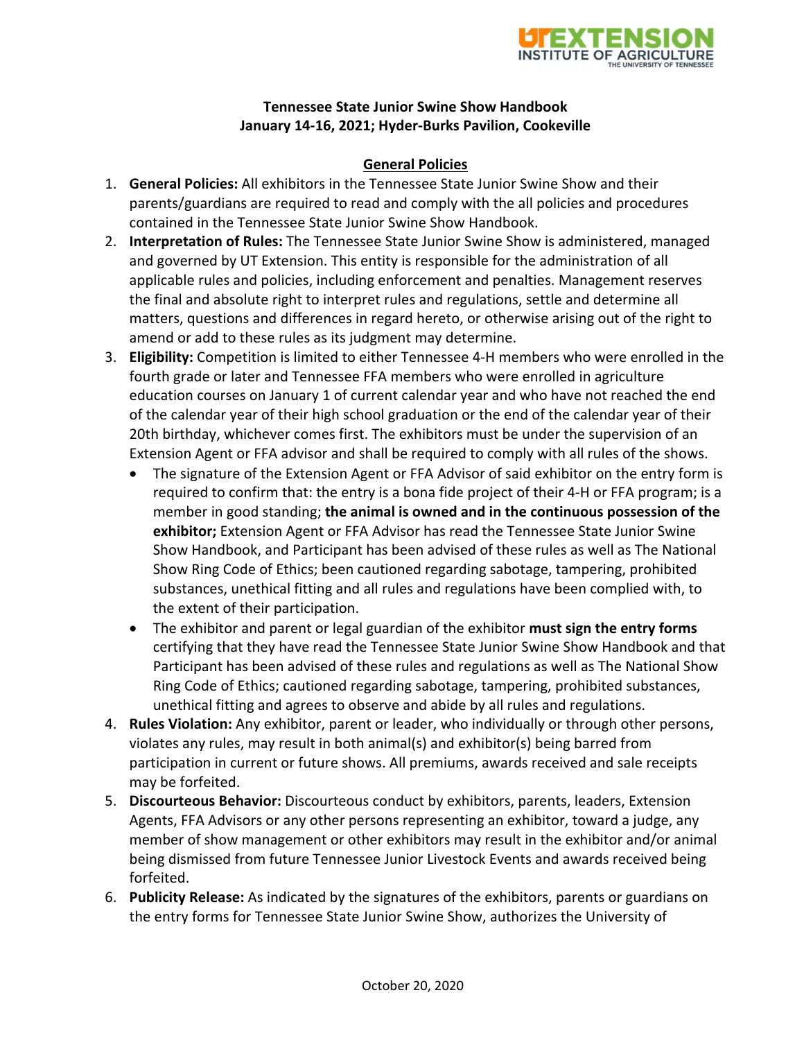

#### **Tennessee State Junior Swine Show Handbook January 14‐16, 2021; Hyder‐Burks Pavilion, Cookeville**

#### **General Policies**

- 1. **General Policies:** All exhibitors in the Tennessee State Junior Swine Show and their parents/guardians are required to read and comply with the all policies and procedures contained in the Tennessee State Junior Swine Show Handbook.
- 2. **Interpretation of Rules:** The Tennessee State Junior Swine Show is administered, managed and governed by UT Extension. This entity is responsible for the administration of all applicable rules and policies, including enforcement and penalties. Management reserves the final and absolute right to interpret rules and regulations, settle and determine all matters, questions and differences in regard hereto, or otherwise arising out of the right to amend or add to these rules as its judgment may determine.
- 3. **Eligibility:** Competition is limited to either Tennessee 4‐H members who were enrolled in the fourth grade or later and Tennessee FFA members who were enrolled in agriculture education courses on January 1 of current calendar year and who have not reached the end of the calendar year of their high school graduation or the end of the calendar year of their 20th birthday, whichever comes first. The exhibitors must be under the supervision of an Extension Agent or FFA advisor and shall be required to comply with all rules of the shows.
	- The signature of the Extension Agent or FFA Advisor of said exhibitor on the entry form is required to confirm that: the entry is a bona fide project of their 4‐H or FFA program; is a member in good standing; **the animal is owned and in the continuous possession of the exhibitor;** Extension Agent or FFA Advisor has read the Tennessee State Junior Swine Show Handbook, and Participant has been advised of these rules as well as The National Show Ring Code of Ethics; been cautioned regarding sabotage, tampering, prohibited substances, unethical fitting and all rules and regulations have been complied with, to the extent of their participation.
	- The exhibitor and parent or legal guardian of the exhibitor **must sign the entry forms** certifying that they have read the Tennessee State Junior Swine Show Handbook and that Participant has been advised of these rules and regulations as well as The National Show Ring Code of Ethics; cautioned regarding sabotage, tampering, prohibited substances, unethical fitting and agrees to observe and abide by all rules and regulations.
- 4. **Rules Violation:** Any exhibitor, parent or leader, who individually or through other persons, violates any rules, may result in both animal(s) and exhibitor(s) being barred from participation in current or future shows. All premiums, awards received and sale receipts may be forfeited.
- 5. **Discourteous Behavior:** Discourteous conduct by exhibitors, parents, leaders, Extension Agents, FFA Advisors or any other persons representing an exhibitor, toward a judge, any member of show management or other exhibitors may result in the exhibitor and/or animal being dismissed from future Tennessee Junior Livestock Events and awards received being forfeited.
- 6. **Publicity Release:** As indicated by the signatures of the exhibitors, parents or guardians on the entry forms for Tennessee State Junior Swine Show, authorizes the University of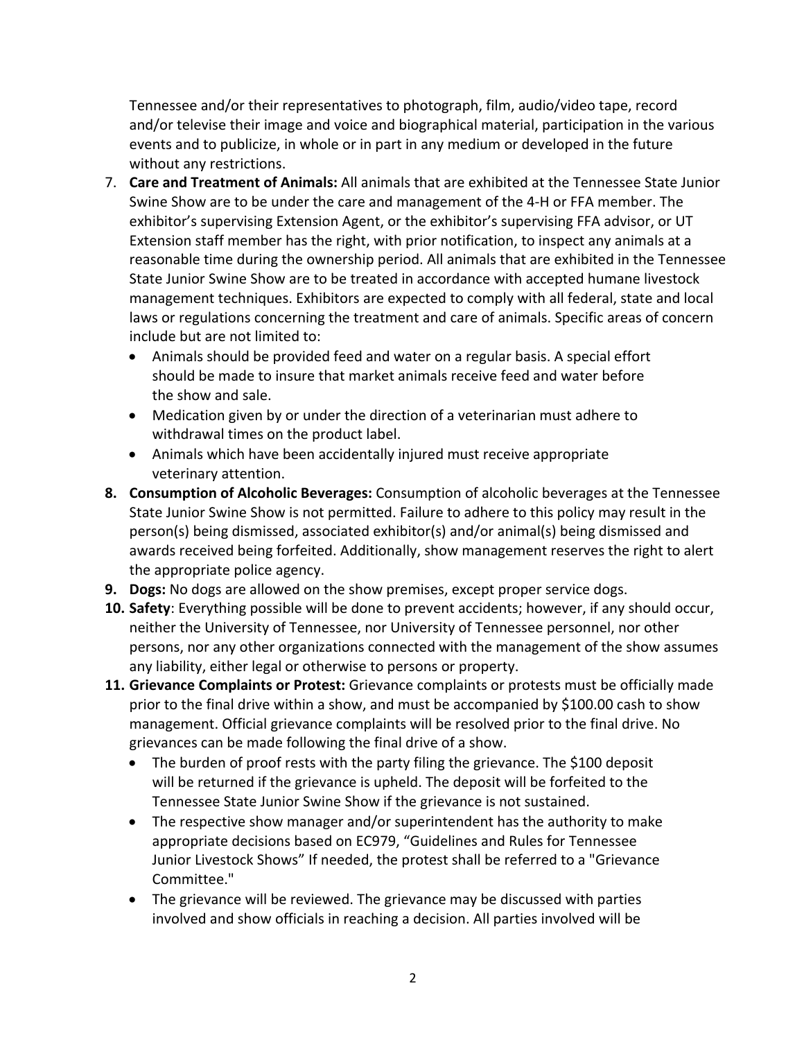Tennessee and/or their representatives to photograph, film, audio/video tape, record and/or televise their image and voice and biographical material, participation in the various events and to publicize, in whole or in part in any medium or developed in the future without any restrictions.

- 7. **Care and Treatment of Animals:** All animals that are exhibited at the Tennessee State Junior Swine Show are to be under the care and management of the 4‐H or FFA member. The exhibitor's supervising Extension Agent, or the exhibitor's supervising FFA advisor, or UT Extension staff member has the right, with prior notification, to inspect any animals at a reasonable time during the ownership period. All animals that are exhibited in the Tennessee State Junior Swine Show are to be treated in accordance with accepted humane livestock management techniques. Exhibitors are expected to comply with all federal, state and local laws or regulations concerning the treatment and care of animals. Specific areas of concern include but are not limited to:
	- Animals should be provided feed and water on a regular basis. A special effort should be made to insure that market animals receive feed and water before the show and sale.
	- Medication given by or under the direction of a veterinarian must adhere to withdrawal times on the product label.
	- Animals which have been accidentally injured must receive appropriate veterinary attention.
- **8. Consumption of Alcoholic Beverages:** Consumption of alcoholic beverages at the Tennessee State Junior Swine Show is not permitted. Failure to adhere to this policy may result in the person(s) being dismissed, associated exhibitor(s) and/or animal(s) being dismissed and awards received being forfeited. Additionally, show management reserves the right to alert the appropriate police agency.
- **9. Dogs:** No dogs are allowed on the show premises, except proper service dogs.
- **10. Safety**: Everything possible will be done to prevent accidents; however, if any should occur, neither the University of Tennessee, nor University of Tennessee personnel, nor other persons, nor any other organizations connected with the management of the show assumes any liability, either legal or otherwise to persons or property.
- **11. Grievance Complaints or Protest:** Grievance complaints or protests must be officially made prior to the final drive within a show, and must be accompanied by \$100.00 cash to show management. Official grievance complaints will be resolved prior to the final drive. No grievances can be made following the final drive of a show.
	- The burden of proof rests with the party filing the grievance. The \$100 deposit will be returned if the grievance is upheld. The deposit will be forfeited to the Tennessee State Junior Swine Show if the grievance is not sustained.
	- The respective show manager and/or superintendent has the authority to make appropriate decisions based on EC979, "Guidelines and Rules for Tennessee Junior Livestock Shows" If needed, the protest shall be referred to a "Grievance Committee."
	- The grievance will be reviewed. The grievance may be discussed with parties involved and show officials in reaching a decision. All parties involved will be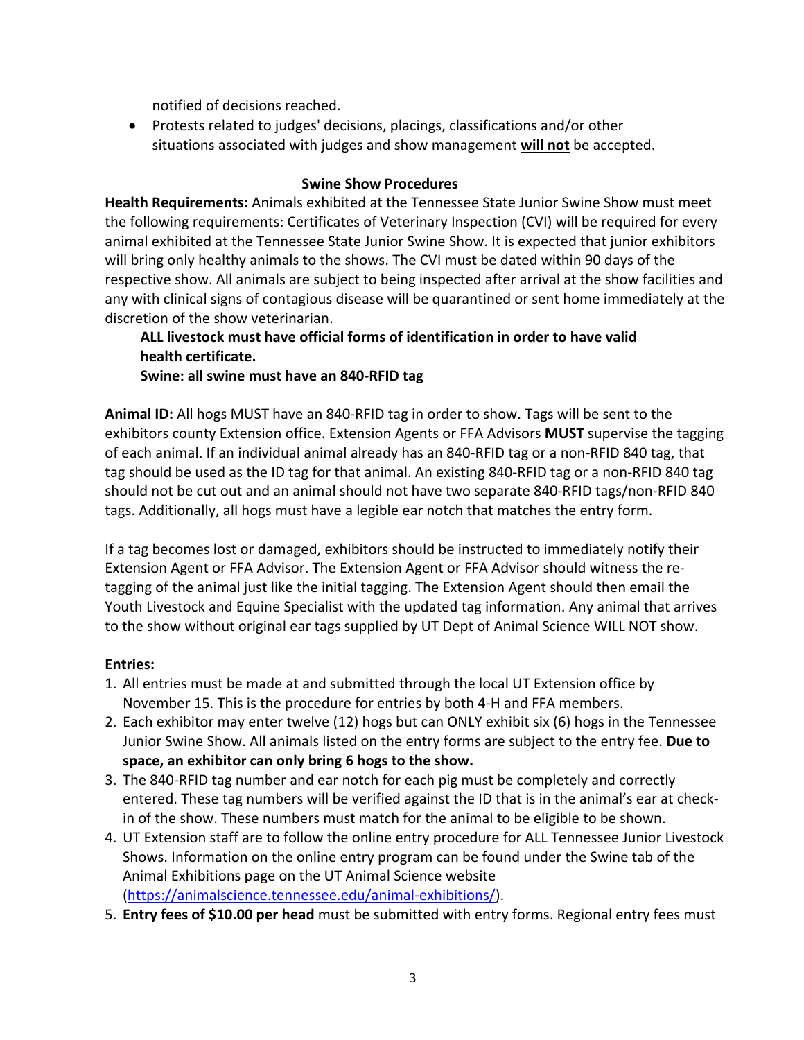notified of decisions reached.

 Protests related to judges' decisions, placings, classifications and/or other situations associated with judges and show management **will not** be accepted.

#### **Swine Show Procedures**

**Health Requirements:** Animals exhibited at the Tennessee State Junior Swine Show must meet the following requirements: Certificates of Veterinary Inspection (CVI) will be required for every animal exhibited at the Tennessee State Junior Swine Show. It is expected that junior exhibitors will bring only healthy animals to the shows. The CVI must be dated within 90 days of the respective show. All animals are subject to being inspected after arrival at the show facilities and any with clinical signs of contagious disease will be quarantined or sent home immediately at the discretion of the show veterinarian.

# **ALL livestock must have official forms of identification in order to have valid health certificate.**

**Swine: all swine must have an 840‐RFID tag**

**Animal ID:** All hogs MUST have an 840‐RFID tag in order to show. Tags will be sent to the exhibitors county Extension office. Extension Agents or FFA Advisors **MUST** supervise the tagging of each animal. If an individual animal already has an 840‐RFID tag or a non‐RFID 840 tag, that tag should be used as the ID tag for that animal. An existing 840‐RFID tag or a non‐RFID 840 tag should not be cut out and an animal should not have two separate 840‐RFID tags/non‐RFID 840 tags. Additionally, all hogs must have a legible ear notch that matches the entry form.

If a tag becomes lost or damaged, exhibitors should be instructed to immediately notify their Extension Agent or FFA Advisor. The Extension Agent or FFA Advisor should witness the re‐ tagging of the animal just like the initial tagging. The Extension Agent should then email the Youth Livestock and Equine Specialist with the updated tag information. Any animal that arrives to the show without original ear tags supplied by UT Dept of Animal Science WILL NOT show.

# **Entries:**

- 1. All entries must be made at and submitted through the local UT Extension office by November 15. This is the procedure for entries by both 4‐H and FFA members.
- 2. Each exhibitor may enter twelve (12) hogs but can ONLY exhibit six (6) hogs in the Tennessee Junior Swine Show. All animals listed on the entry forms are subject to the entry fee. **Due to space, an exhibitor can only bring 6 hogs to the show.**
- 3. The 840‐RFID tag number and ear notch for each pig must be completely and correctly entered. These tag numbers will be verified against the ID that is in the animal's ear at check‐ in of the show. These numbers must match for the animal to be eligible to be shown.
- 4. UT Extension staff are to follow the online entry procedure for ALL Tennessee Junior Livestock Shows. Information on the online entry program can be found under the Swine tab of the Animal Exhibitions page on the UT Animal Science website (https://animalscience.tennessee.edu/animal‐exhibitions/).
- 5. **Entry fees of \$10.00 per head** must be submitted with entry forms. Regional entry fees must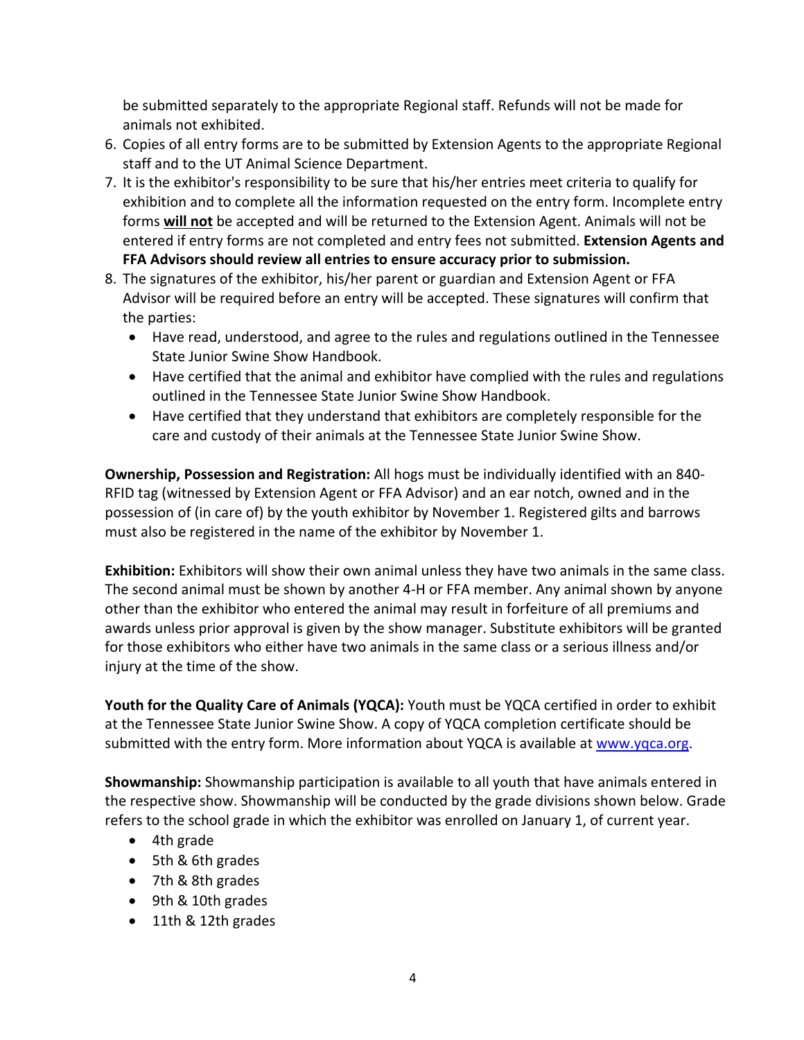be submitted separately to the appropriate Regional staff. Refunds will not be made for animals not exhibited.

- 6. Copies of all entry forms are to be submitted by Extension Agents to the appropriate Regional staff and to the UT Animal Science Department.
- 7. It is the exhibitor's responsibility to be sure that his/her entries meet criteria to qualify for exhibition and to complete all the information requested on the entry form. Incomplete entry forms **will not** be accepted and will be returned to the Extension Agent. Animals will not be entered if entry forms are not completed and entry fees not submitted. **Extension Agents and FFA Advisors should review all entries to ensure accuracy prior to submission.**
- 8. The signatures of the exhibitor, his/her parent or guardian and Extension Agent or FFA Advisor will be required before an entry will be accepted. These signatures will confirm that the parties:
	- Have read, understood, and agree to the rules and regulations outlined in the Tennessee State Junior Swine Show Handbook.
	- Have certified that the animal and exhibitor have complied with the rules and regulations outlined in the Tennessee State Junior Swine Show Handbook.
	- Have certified that they understand that exhibitors are completely responsible for the care and custody of their animals at the Tennessee State Junior Swine Show.

**Ownership, Possession and Registration:** All hogs must be individually identified with an 840‐ RFID tag (witnessed by Extension Agent or FFA Advisor) and an ear notch, owned and in the possession of (in care of) by the youth exhibitor by November 1. Registered gilts and barrows must also be registered in the name of the exhibitor by November 1.

**Exhibition:** Exhibitors will show their own animal unless they have two animals in the same class. The second animal must be shown by another 4‐H or FFA member. Any animal shown by anyone other than the exhibitor who entered the animal may result in forfeiture of all premiums and awards unless prior approval is given by the show manager. Substitute exhibitors will be granted for those exhibitors who either have two animals in the same class or a serious illness and/or injury at the time of the show.

**Youth for the Quality Care of Animals (YQCA):** Youth must be YQCA certified in order to exhibit at the Tennessee State Junior Swine Show. A copy of YQCA completion certificate should be submitted with the entry form. More information about YQCA is available at www.yqca.org.

**Showmanship:** Showmanship participation is available to all youth that have animals entered in the respective show. Showmanship will be conducted by the grade divisions shown below. Grade refers to the school grade in which the exhibitor was enrolled on January 1, of current year.

- 4th grade
- 5th & 6th grades
- 7th & 8th grades
- 9th & 10th grades
- 11th & 12th grades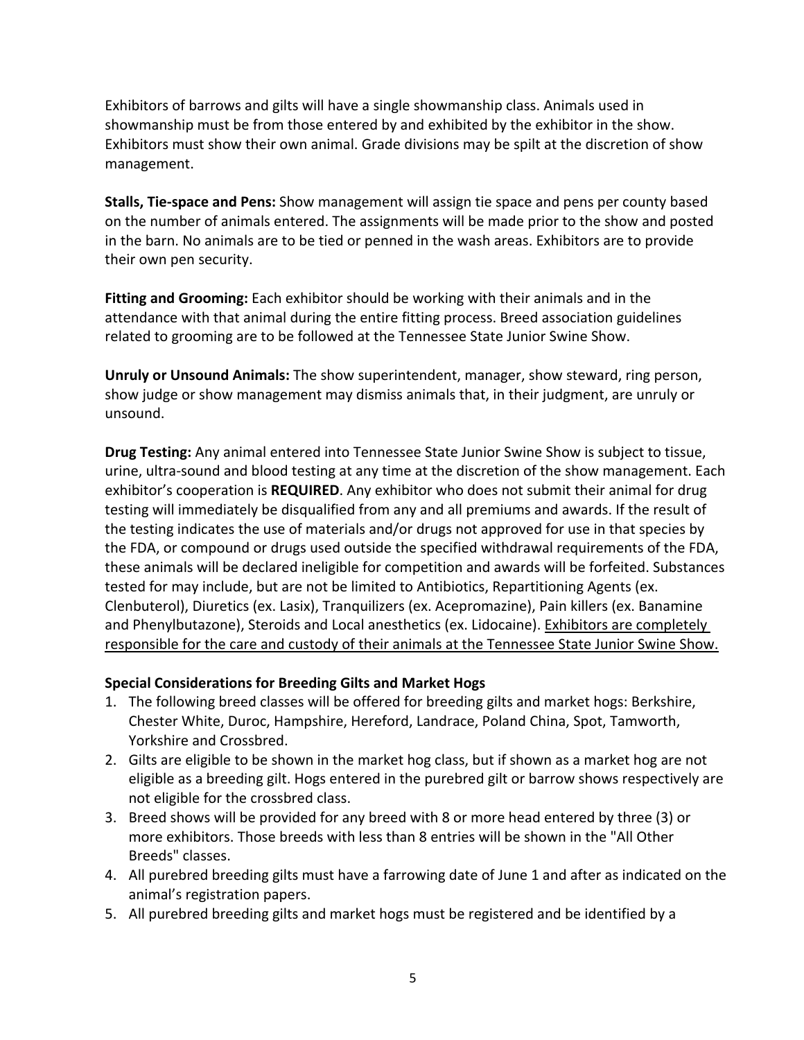Exhibitors of barrows and gilts will have a single showmanship class. Animals used in showmanship must be from those entered by and exhibited by the exhibitor in the show. Exhibitors must show their own animal. Grade divisions may be spilt at the discretion of show management.

**Stalls, Tie‐space and Pens:** Show management will assign tie space and pens per county based on the number of animals entered. The assignments will be made prior to the show and posted in the barn. No animals are to be tied or penned in the wash areas. Exhibitors are to provide their own pen security.

**Fitting and Grooming:** Each exhibitor should be working with their animals and in the attendance with that animal during the entire fitting process. Breed association guidelines related to grooming are to be followed at the Tennessee State Junior Swine Show.

**Unruly or Unsound Animals:** The show superintendent, manager, show steward, ring person, show judge or show management may dismiss animals that, in their judgment, are unruly or unsound.

**Drug Testing:** Any animal entered into Tennessee State Junior Swine Show is subject to tissue, urine, ultra‐sound and blood testing at any time at the discretion of the show management. Each exhibitor's cooperation is **REQUIRED**. Any exhibitor who does not submit their animal for drug testing will immediately be disqualified from any and all premiums and awards. If the result of the testing indicates the use of materials and/or drugs not approved for use in that species by the FDA, or compound or drugs used outside the specified withdrawal requirements of the FDA, these animals will be declared ineligible for competition and awards will be forfeited. Substances tested for may include, but are not be limited to Antibiotics, Repartitioning Agents (ex. Clenbuterol), Diuretics (ex. Lasix), Tranquilizers (ex. Acepromazine), Pain killers (ex. Banamine and Phenylbutazone), Steroids and Local anesthetics (ex. Lidocaine). Exhibitors are completely responsible for the care and custody of their animals at the Tennessee State Junior Swine Show.

#### **Special Considerations for Breeding Gilts and Market Hogs**

- 1. The following breed classes will be offered for breeding gilts and market hogs: Berkshire, Chester White, Duroc, Hampshire, Hereford, Landrace, Poland China, Spot, Tamworth, Yorkshire and Crossbred.
- 2. Gilts are eligible to be shown in the market hog class, but if shown as a market hog are not eligible as a breeding gilt. Hogs entered in the purebred gilt or barrow shows respectively are not eligible for the crossbred class.
- 3. Breed shows will be provided for any breed with 8 or more head entered by three (3) or more exhibitors. Those breeds with less than 8 entries will be shown in the "All Other Breeds" classes.
- 4. All purebred breeding gilts must have a farrowing date of June 1 and after as indicated on the animal's registration papers.
- 5. All purebred breeding gilts and market hogs must be registered and be identified by a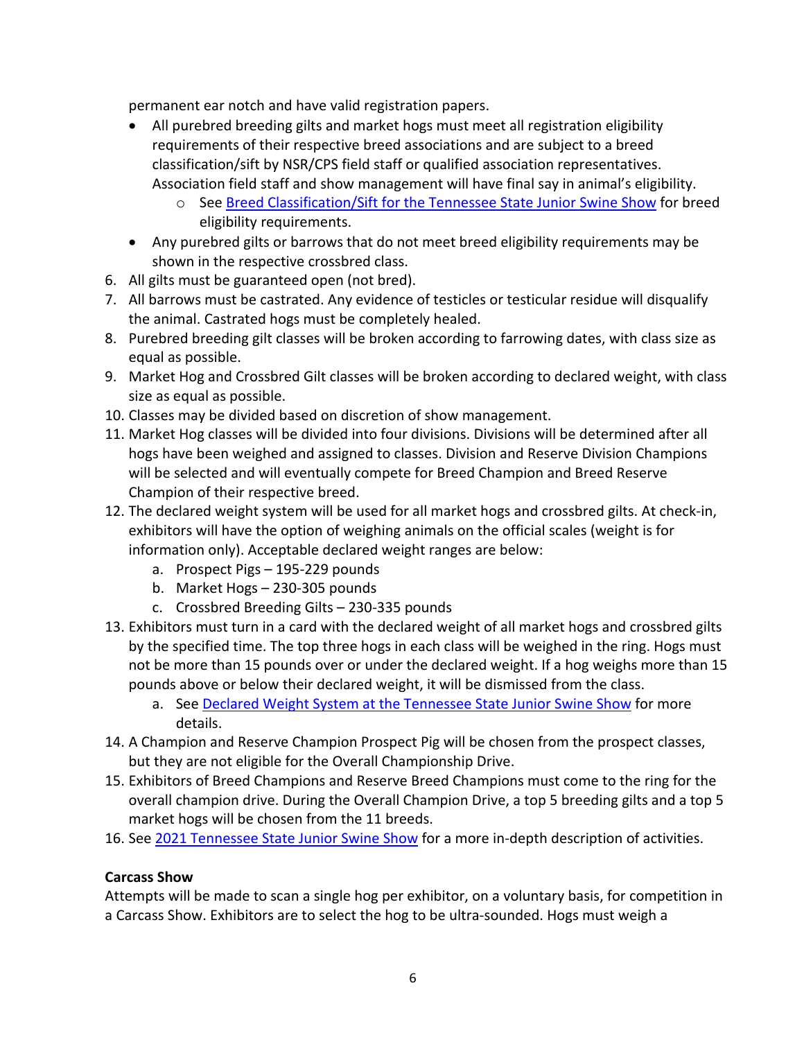permanent ear notch and have valid registration papers.

- All purebred breeding gilts and market hogs must meet all registration eligibility requirements of their respective breed associations and are subject to a breed classification/sift by NSR/CPS field staff or qualified association representatives. Association field staff and show management will have final say in animal's eligibility.
	- o See Breed Classification/Sift for the Tennessee State Junior Swine Show for breed eligibility requirements.
- Any purebred gilts or barrows that do not meet breed eligibility requirements may be shown in the respective crossbred class.
- 6. All gilts must be guaranteed open (not bred).
- 7. All barrows must be castrated. Any evidence of testicles or testicular residue will disqualify the animal. Castrated hogs must be completely healed.
- 8. Purebred breeding gilt classes will be broken according to farrowing dates, with class size as equal as possible.
- 9. Market Hog and Crossbred Gilt classes will be broken according to declared weight, with class size as equal as possible.
- 10. Classes may be divided based on discretion of show management.
- 11. Market Hog classes will be divided into four divisions. Divisions will be determined after all hogs have been weighed and assigned to classes. Division and Reserve Division Champions will be selected and will eventually compete for Breed Champion and Breed Reserve Champion of their respective breed.
- 12. The declared weight system will be used for all market hogs and crossbred gilts. At check‐in, exhibitors will have the option of weighing animals on the official scales (weight is for information only). Acceptable declared weight ranges are below:
	- a. Prospect Pigs 195‐229 pounds
	- b. Market Hogs 230‐305 pounds
	- c. Crossbred Breeding Gilts 230‐335 pounds
- 13. Exhibitors must turn in a card with the declared weight of all market hogs and crossbred gilts by the specified time. The top three hogs in each class will be weighed in the ring. Hogs must not be more than 15 pounds over or under the declared weight. If a hog weighs more than 15 pounds above or below their declared weight, it will be dismissed from the class.
	- a. See Declared Weight System at the Tennessee State Junior Swine Show for more details.
- 14. A Champion and Reserve Champion Prospect Pig will be chosen from the prospect classes, but they are not eligible for the Overall Championship Drive.
- 15. Exhibitors of Breed Champions and Reserve Breed Champions must come to the ring for the overall champion drive. During the Overall Champion Drive, a top 5 breeding gilts and a top 5 market hogs will be chosen from the 11 breeds.
- 16. See 2021 Tennessee State Junior Swine Show for a more in-depth description of activities.

# **Carcass Show**

Attempts will be made to scan a single hog per exhibitor, on a voluntary basis, for competition in a Carcass Show. Exhibitors are to select the hog to be ultra‐sounded. Hogs must weigh a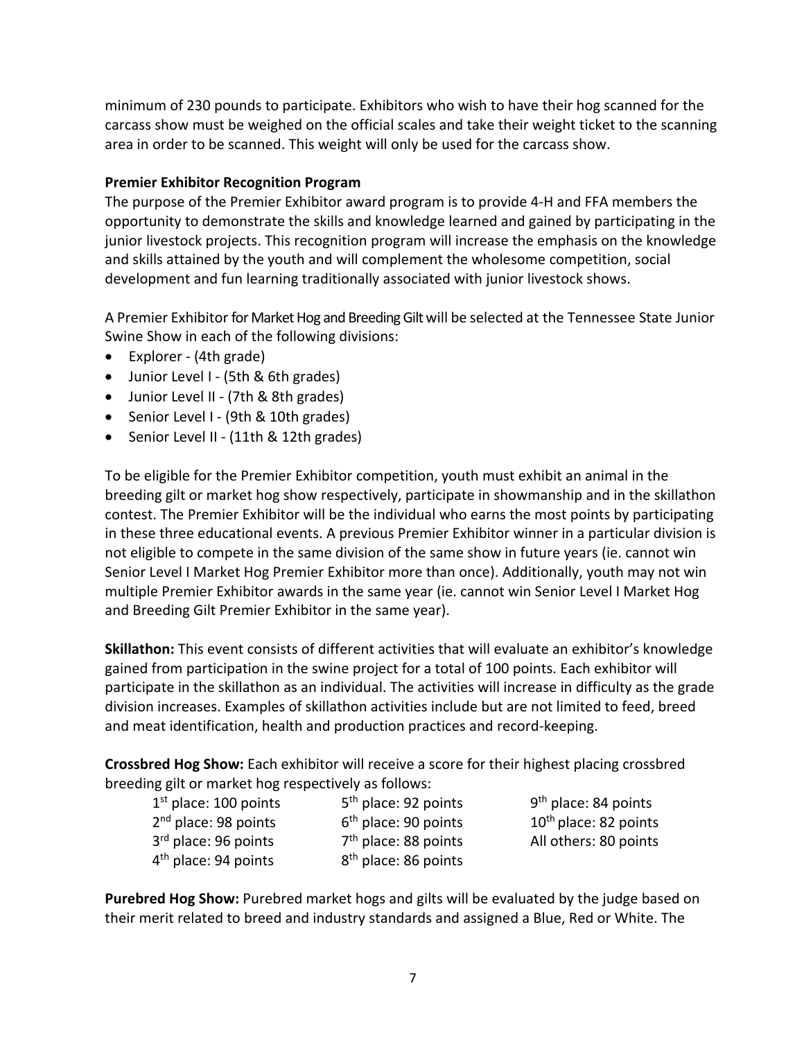minimum of 230 pounds to participate. Exhibitors who wish to have their hog scanned for the carcass show must be weighed on the official scales and take their weight ticket to the scanning area in order to be scanned. This weight will only be used for the carcass show.

#### **Premier Exhibitor Recognition Program**

The purpose of the Premier Exhibitor award program is to provide 4‐H and FFA members the opportunity to demonstrate the skills and knowledge learned and gained by participating in the junior livestock projects. This recognition program will increase the emphasis on the knowledge and skills attained by the youth and will complement the wholesome competition, social development and fun learning traditionally associated with junior livestock shows.

A Premier Exhibitor for Market Hog and Breeding Gilt will be selected at the Tennessee State Junior Swine Show in each of the following divisions:

- Explorer (4th grade)
- Junior Level I (5th & 6th grades)
- Junior Level II (7th & 8th grades)
- Senior Level I (9th & 10th grades)
- Senior Level II (11th & 12th grades)

To be eligible for the Premier Exhibitor competition, youth must exhibit an animal in the breeding gilt or market hog show respectively, participate in showmanship and in the skillathon contest. The Premier Exhibitor will be the individual who earns the most points by participating in these three educational events. A previous Premier Exhibitor winner in a particular division is not eligible to compete in the same division of the same show in future years (ie. cannot win Senior Level I Market Hog Premier Exhibitor more than once). Additionally, youth may not win multiple Premier Exhibitor awards in the same year (ie. cannot win Senior Level I Market Hog and Breeding Gilt Premier Exhibitor in the same year).

**Skillathon:** This event consists of different activities that will evaluate an exhibitor's knowledge gained from participation in the swine project for a total of 100 points. Each exhibitor will participate in the skillathon as an individual. The activities will increase in difficulty as the grade division increases. Examples of skillathon activities include but are not limited to feed, breed and meat identification, health and production practices and record‐keeping.

**Crossbred Hog Show:** Each exhibitor will receive a score for their highest placing crossbred breeding gilt or market hog respectively as follows:

| $1st$ place: 100 points          | 5 <sup>th</sup> place: 92 points | 9 <sup>th</sup> place: 84 points  |
|----------------------------------|----------------------------------|-----------------------------------|
| 2 <sup>nd</sup> place: 98 points | $6th$ place: 90 points           | 10 <sup>th</sup> place: 82 points |
| 3 <sup>rd</sup> place: 96 points | 7 <sup>th</sup> place: 88 points | All others: 80 points             |
| 4 <sup>th</sup> place: 94 points | 8 <sup>th</sup> place: 86 points |                                   |

**Purebred Hog Show:** Purebred market hogs and gilts will be evaluated by the judge based on their merit related to breed and industry standards and assigned a Blue, Red or White. The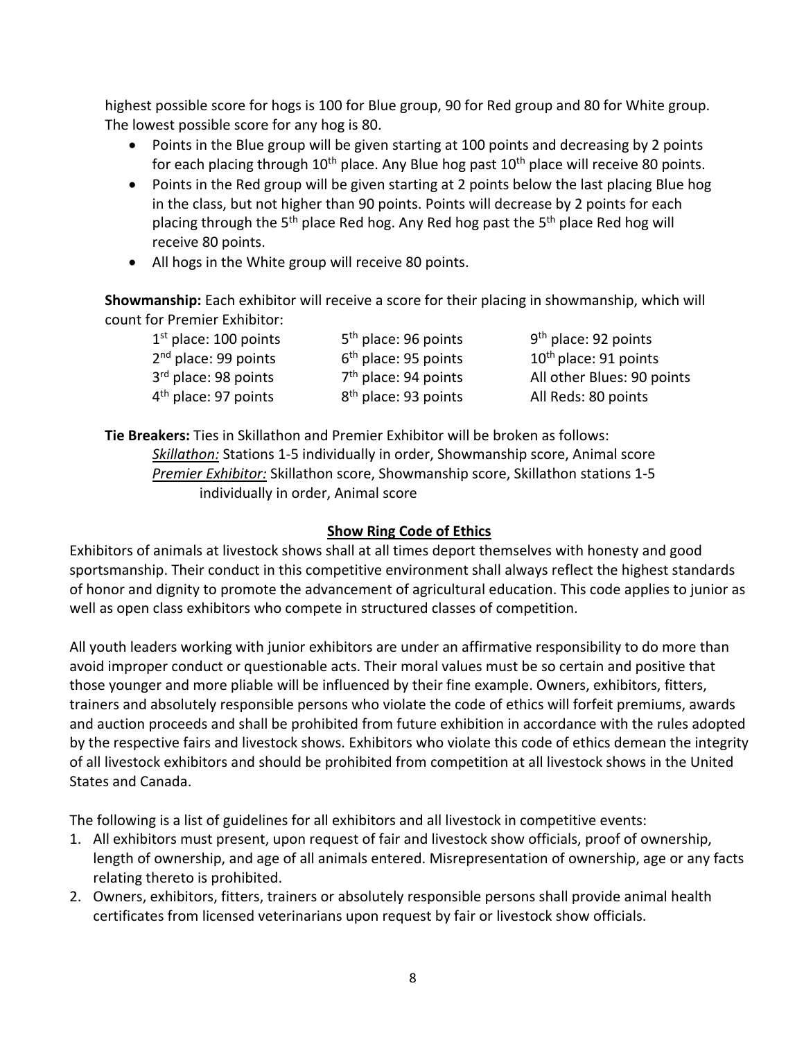highest possible score for hogs is 100 for Blue group, 90 for Red group and 80 for White group. The lowest possible score for any hog is 80.

- Points in the Blue group will be given starting at 100 points and decreasing by 2 points for each placing through  $10<sup>th</sup>$  place. Any Blue hog past  $10<sup>th</sup>$  place will receive 80 points.
- Points in the Red group will be given starting at 2 points below the last placing Blue hog in the class, but not higher than 90 points. Points will decrease by 2 points for each placing through the 5<sup>th</sup> place Red hog. Any Red hog past the 5<sup>th</sup> place Red hog will receive 80 points.
- All hogs in the White group will receive 80 points.

**Showmanship:** Each exhibitor will receive a score for their placing in showmanship, which will count for Premier Exhibitor:

| $1st$ place: 100 points          | 5 <sup>th</sup> place: 96 points | $9th$ place: 92 points            |
|----------------------------------|----------------------------------|-----------------------------------|
| $2nd$ place: 99 points           | $6th$ place: 95 points           | 10 <sup>th</sup> place: 91 points |
| 3 <sup>rd</sup> place: 98 points | $7th$ place: 94 points           | All other Blues: 90 points        |
| $4th$ place: 97 points           | 8 <sup>th</sup> place: 93 points | All Reds: 80 points               |

**Tie Breakers:** Ties in Skillathon and Premier Exhibitor will be broken as follows: *Skillathon:* Stations 1‐5 individually in order, Showmanship score, Animal score *Premier Exhibitor:* Skillathon score, Showmanship score, Skillathon stations 1‐5 individually in order, Animal score

# **Show Ring Code of Ethics**

Exhibitors of animals at livestock shows shall at all times deport themselves with honesty and good sportsmanship. Their conduct in this competitive environment shall always reflect the highest standards of honor and dignity to promote the advancement of agricultural education. This code applies to junior as well as open class exhibitors who compete in structured classes of competition.

All youth leaders working with junior exhibitors are under an affirmative responsibility to do more than avoid improper conduct or questionable acts. Their moral values must be so certain and positive that those younger and more pliable will be influenced by their fine example. Owners, exhibitors, fitters, trainers and absolutely responsible persons who violate the code of ethics will forfeit premiums, awards and auction proceeds and shall be prohibited from future exhibition in accordance with the rules adopted by the respective fairs and livestock shows. Exhibitors who violate this code of ethics demean the integrity of all livestock exhibitors and should be prohibited from competition at all livestock shows in the United States and Canada.

The following is a list of guidelines for all exhibitors and all livestock in competitive events:

- 1. All exhibitors must present, upon request of fair and livestock show officials, proof of ownership, length of ownership, and age of all animals entered. Misrepresentation of ownership, age or any facts relating thereto is prohibited.
- 2. Owners, exhibitors, fitters, trainers or absolutely responsible persons shall provide animal health certificates from licensed veterinarians upon request by fair or livestock show officials.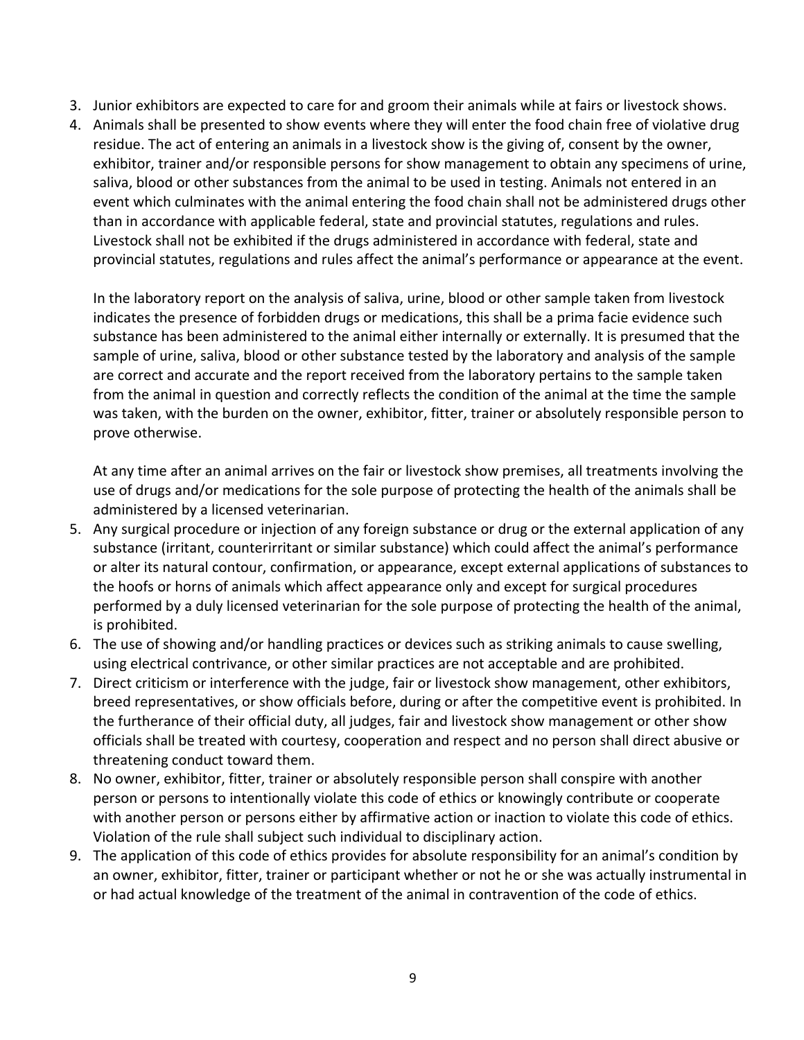- 3. Junior exhibitors are expected to care for and groom their animals while at fairs or livestock shows.
- 4. Animals shall be presented to show events where they will enter the food chain free of violative drug residue. The act of entering an animals in a livestock show is the giving of, consent by the owner, exhibitor, trainer and/or responsible persons for show management to obtain any specimens of urine, saliva, blood or other substances from the animal to be used in testing. Animals not entered in an event which culminates with the animal entering the food chain shall not be administered drugs other than in accordance with applicable federal, state and provincial statutes, regulations and rules. Livestock shall not be exhibited if the drugs administered in accordance with federal, state and provincial statutes, regulations and rules affect the animal's performance or appearance at the event.

In the laboratory report on the analysis of saliva, urine, blood or other sample taken from livestock indicates the presence of forbidden drugs or medications, this shall be a prima facie evidence such substance has been administered to the animal either internally or externally. It is presumed that the sample of urine, saliva, blood or other substance tested by the laboratory and analysis of the sample are correct and accurate and the report received from the laboratory pertains to the sample taken from the animal in question and correctly reflects the condition of the animal at the time the sample was taken, with the burden on the owner, exhibitor, fitter, trainer or absolutely responsible person to prove otherwise.

At any time after an animal arrives on the fair or livestock show premises, all treatments involving the use of drugs and/or medications for the sole purpose of protecting the health of the animals shall be administered by a licensed veterinarian.

- 5. Any surgical procedure or injection of any foreign substance or drug or the external application of any substance (irritant, counterirritant or similar substance) which could affect the animal's performance or alter its natural contour, confirmation, or appearance, except external applications of substances to the hoofs or horns of animals which affect appearance only and except for surgical procedures performed by a duly licensed veterinarian for the sole purpose of protecting the health of the animal, is prohibited.
- 6. The use of showing and/or handling practices or devices such as striking animals to cause swelling, using electrical contrivance, or other similar practices are not acceptable and are prohibited.
- 7. Direct criticism or interference with the judge, fair or livestock show management, other exhibitors, breed representatives, or show officials before, during or after the competitive event is prohibited. In the furtherance of their official duty, all judges, fair and livestock show management or other show officials shall be treated with courtesy, cooperation and respect and no person shall direct abusive or threatening conduct toward them.
- 8. No owner, exhibitor, fitter, trainer or absolutely responsible person shall conspire with another person or persons to intentionally violate this code of ethics or knowingly contribute or cooperate with another person or persons either by affirmative action or inaction to violate this code of ethics. Violation of the rule shall subject such individual to disciplinary action.
- 9. The application of this code of ethics provides for absolute responsibility for an animal's condition by an owner, exhibitor, fitter, trainer or participant whether or not he or she was actually instrumental in or had actual knowledge of the treatment of the animal in contravention of the code of ethics.